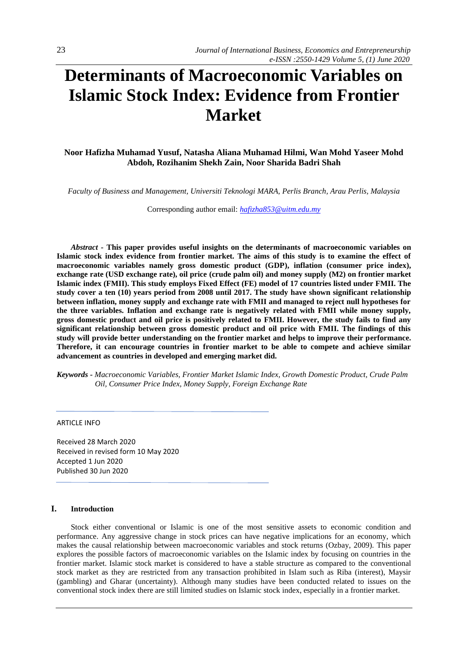# **Determinants of Macroeconomic Variables on Islamic Stock Index: Evidence from Frontier Market**

**Noor Hafizha Muhamad Yusuf, Natasha Aliana Muhamad Hilmi, Wan Mohd Yaseer Mohd Abdoh, Rozihanim Shekh Zain, Noor Sharida Badri Shah**

*Faculty of Business and Management, Universiti Teknologi MARA, Perlis Branch, Arau Perlis, Malaysia*

Corresponding author email: *[hafizha853@uitm.edu.my](mailto:hafizha853@uitm.edu.my)*

*Abstract -* **This paper provides useful insights on the determinants of macroeconomic variables on Islamic stock index evidence from frontier market. The aims of this study is to examine the effect of macroeconomic variables namely gross domestic product (GDP), inflation (consumer price index), exchange rate (USD exchange rate), oil price (crude palm oil) and money supply (M2) on frontier market Islamic index (FMII). This study employs Fixed Effect (FE) model of 17 countries listed under FMII. The study cover a ten (10) years period from 2008 until 2017. The study have shown significant relationship between inflation, money supply and exchange rate with FMII and managed to reject null hypotheses for the three variables. Inflation and exchange rate is negatively related with FMII while money supply, gross domestic product and oil price is positively related to FMII. However, the study fails to find any significant relationship between gross domestic product and oil price with FMII. The findings of this study will provide better understanding on the frontier market and helps to improve their performance. Therefore, it can encourage countries in frontier market to be able to compete and achieve similar advancement as countries in developed and emerging market did.**

*Keywords - Macroeconomic Variables, Frontier Market Islamic Index, Growth Domestic Product, Crude Palm Oil, Consumer Price Index, Money Supply, Foreign Exchange Rate* 

ARTICLE INFO

Received 28 March 2020 Received in revised form 10 May 2020 Accepted 1 Jun 2020 Published 30 Jun 2020

# **I. Introduction**

Stock either conventional or Islamic is one of the most sensitive assets to economic condition and performance. Any aggressive change in stock prices can have negative implications for an economy, which makes the causal relationship between macroeconomic variables and stock returns (Ozbay, 2009). This paper explores the possible factors of macroeconomic variables on the Islamic index by focusing on countries in the frontier market. Islamic stock market is considered to have a stable structure as compared to the conventional stock market as they are restricted from any transaction prohibited in Islam such as Riba (interest), Maysir (gambling) and Gharar (uncertainty). Although many studies have been conducted related to issues on the conventional stock index there are still limited studies on Islamic stock index, especially in a frontier market.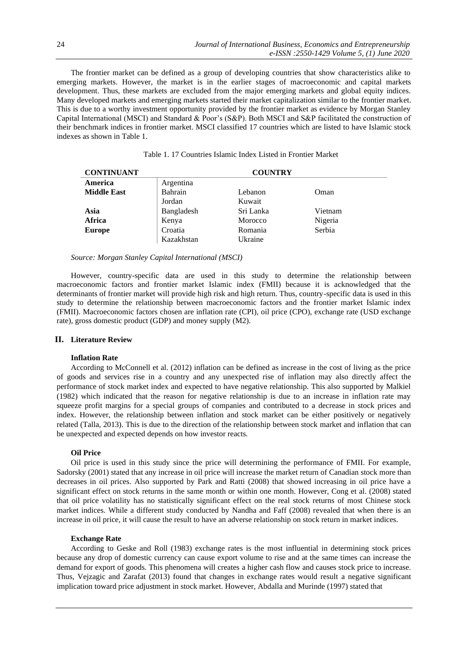The frontier market can be defined as a group of developing countries that show characteristics alike to emerging markets. However, the market is in the earlier stages of macroeconomic and capital markets development. Thus, these markets are excluded from the major emerging markets and global equity indices. Many developed markets and emerging markets started their market capitalization similar to the frontier market. This is due to a worthy investment opportunity provided by the frontier market as evidence by Morgan Stanley Capital International (MSCI) and Standard & Poor's (S&P). Both MSCI and S&P facilitated the construction of their benchmark indices in frontier market. MSCI classified 17 countries which are listed to have Islamic stock indexes as shown in Table 1.

| <b>CONTINUANT</b>  | <b>COUNTRY</b> |           |         |  |
|--------------------|----------------|-----------|---------|--|
| America            | Argentina      |           |         |  |
| <b>Middle East</b> | Bahrain        | Lebanon   | Oman    |  |
|                    | Jordan         | Kuwait    |         |  |
| Asia               | Bangladesh     | Sri Lanka | Vietnam |  |
| Africa             | Kenya          | Morocco   | Nigeria |  |
| <b>Europe</b>      | Croatia        | Romania   | Serbia  |  |
|                    | Kazakhstan     | Ukraine   |         |  |

# Table 1. 17 Countries Islamic Index Listed in Frontier Market

#### *Source: Morgan Stanley Capital International (MSCI)*

However, country-specific data are used in this study to determine the relationship between macroeconomic factors and frontier market Islamic index (FMII) because it is acknowledged that the determinants of frontier market will provide high risk and high return. Thus, country-specific data is used in this study to determine the relationship between macroeconomic factors and the frontier market Islamic index (FMII). Macroeconomic factors chosen are inflation rate (CPI), oil price (CPO), exchange rate (USD exchange rate), gross domestic product (GDP) and money supply (M2).

# **II. Literature Review**

# **Inflation Rate**

According to McConnell et al. (2012) inflation can be defined as increase in the cost of living as the price of goods and services rise in a country and any unexpected rise of inflation may also directly affect the performance of stock market index and expected to have negative relationship. This also supported by Malkiel (1982) which indicated that the reason for negative relationship is due to an increase in inflation rate may squeeze profit margins for a special groups of companies and contributed to a decrease in stock prices and index. However, the relationship between inflation and stock market can be either positively or negatively related (Talla, 2013). This is due to the direction of the relationship between stock market and inflation that can be unexpected and expected depends on how investor reacts.

#### **Oil Price**

Oil price is used in this study since the price will determining the performance of FMII. For example, Sadorsky (2001) stated that any increase in oil price will increase the market return of Canadian stock more than decreases in oil prices. Also supported by Park and Ratti (2008) that showed increasing in oil price have a significant effect on stock returns in the same month or within one month. However, Cong et al. (2008) stated that oil price volatility has no statistically significant effect on the real stock returns of most Chinese stock market indices. While a different study conducted by Nandha and Faff (2008) revealed that when there is an increase in oil price, it will cause the result to have an adverse relationship on stock return in market indices.

#### **Exchange Rate**

According to Geske and Roll (1983) exchange rates is the most influential in determining stock prices because any drop of domestic currency can cause export volume to rise and at the same times can increase the demand for export of goods. This phenomena will creates a higher cash flow and causes stock price to increase. Thus, Vejzagic and Zarafat (2013) found that changes in exchange rates would result a negative significant implication toward price adjustment in stock market. However, Abdalla and Murinde (1997) stated that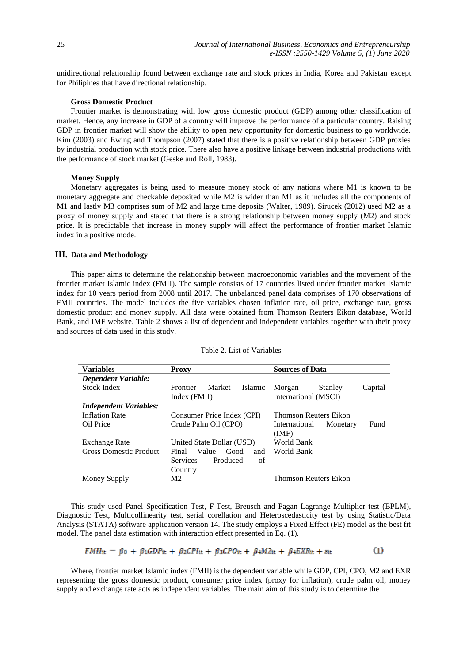unidirectional relationship found between exchange rate and stock prices in India, Korea and Pakistan except for Philipines that have directional relationship.

# **Gross Domestic Product**

Frontier market is demonstrating with low gross domestic product (GDP) among other classification of market. Hence, any increase in GDP of a country will improve the performance of a particular country. Raising GDP in frontier market will show the ability to open new opportunity for domestic business to go worldwide. Kim (2003) and Ewing and Thompson (2007) stated that there is a positive relationship between GDP proxies by industrial production with stock price. There also have a positive linkage between industrial productions with the performance of stock market (Geske and Roll, 1983).

#### **Money Supply**

Monetary aggregates is being used to measure money stock of any nations where M1 is known to be monetary aggregate and checkable deposited while M2 is wider than M1 as it includes all the components of M1 and lastly M3 comprises sum of M2 and large time deposits (Walter, 1989). Sirucek (2012) used M2 as a proxy of money supply and stated that there is a strong relationship between money supply (M2) and stock price. It is predictable that increase in money supply will affect the performance of frontier market Islamic index in a positive mode.

### **III. Data and Methodology**

This paper aims to determine the relationship between macroeconomic variables and the movement of the frontier market Islamic index (FMII). The sample consists of 17 countries listed under frontier market Islamic index for 10 years period from 2008 until 2017. The unbalanced panel data comprises of 170 observations of FMII countries. The model includes the five variables chosen inflation rate, oil price, exchange rate, gross domestic product and money supply. All data were obtained from Thomson Reuters Eikon database, World Bank, and IMF website. Table 2 shows a list of dependent and independent variables together with their proxy and sources of data used in this study.

| <b>Variables</b>              | <b>Proxy</b>                         | <b>Sources of Data</b>            |
|-------------------------------|--------------------------------------|-----------------------------------|
| <b>Dependent Variable:</b>    |                                      |                                   |
| Stock Index                   | Market<br>Islamic<br><b>Frontier</b> | Stanley<br>Capital<br>Morgan      |
|                               | Index (FMII)                         | International (MSCI)              |
| <b>Independent Variables:</b> |                                      |                                   |
| <b>Inflation Rate</b>         | Consumer Price Index (CPI)           | <b>Thomson Reuters Eikon</b>      |
| Oil Price                     | Crude Palm Oil (CPO)                 | Fund<br>Monetary<br>International |
|                               |                                      | (MF)                              |
| <b>Exchange Rate</b>          | United State Dollar (USD)            | World Bank                        |
| Gross Domestic Product        | Value<br>Good<br>Final<br>and        | World Bank                        |
|                               | <b>Services</b><br>Produced<br>of    |                                   |
|                               | Country                              |                                   |
| Money Supply                  | M <sub>2</sub>                       | Thomson Reuters Eikon             |
|                               |                                      |                                   |

#### Table 2. List of Variables

This study used Panel Specification Test, F-Test, Breusch and Pagan Lagrange Multiplier test (BPLM), Diagnostic Test, Multicollinearity test, serial corellation and Heteroscedasticity test by using Statistic/Data Analysis (STATA) software application version 14. The study employs a Fixed Effect (FE) model as the best fit model. The panel data estimation with interaction effect presented in Eq. (1).

$$
FMI_{it} = \beta_0 + \beta_1 GDP_{it} + \beta_2 CPL_{it} + \beta_3 CPO_{it} + \beta_4 M2_{it} + \beta_4 EXR_{it} + \varepsilon_{it}
$$
 (1)

Where, frontier market Islamic index (FMII) is the dependent variable while GDP, CPI, CPO, M2 and EXR representing the gross domestic product, consumer price index (proxy for inflation), crude palm oil, money supply and exchange rate acts as independent variables. The main aim of this study is to determine the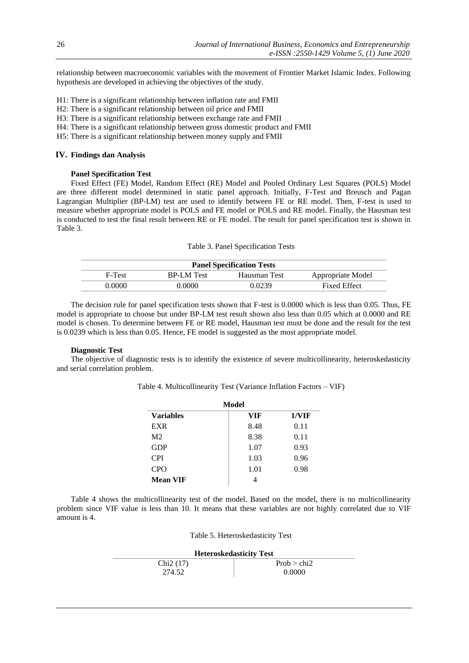relationship between macroeconomic variables with the movement of Frontier Market Islamic Index. Following hypothesis are developed in achieving the objectives of the study.

- H1: There is a significant relationship between inflation rate and FMII
- H2: There is a significant relationship between oil price and FMII
- H3: There is a significant relationship between exchange rate and FMII
- H4: There is a significant relationship between gross domestic product and FMII
- H5: There is a significant relationship between money supply and FMII

# **IV. Findings dan Analysis**

# **Panel Specification Test**

Fixed Effect (FE) Model, Random Effect (RE) Model and Pooled Ordinary Lest Squares (POLS) Model are three different model determined in static panel approach. Initially, F-Test and Breusch and Pagan Lagrangian Multiplier (BP-LM) test are used to identify between FE or RE model. Then, F-test is used to measure whether appropriate model is POLS and FE model or POLS and RE model. Finally, the Hausman test is conducted to test the final result between RE or FE model. The result for panel specification test is shown in Table 3.

Table 3. Panel Specification Tests

| <b>Panel Specification Tests</b> |                   |              |                     |
|----------------------------------|-------------------|--------------|---------------------|
| F-Test                           | <b>BP-LM</b> Test | Hausman Test | Appropriate Model   |
| 0.0000                           | E0000.            | 0.0239       | <b>Fixed Effect</b> |

The decision rule for panel specification tests shown that F-test is 0.0000 which is less than 0.05. Thus, FE model is appropriate to choose but under BP-LM test result shown also less than 0.05 which at 0.0000 and RE model is chosen. To determine between FE or RE model, Hausman test must be done and the result for the test is 0.0239 which is less than 0.05. Hence, FE model is suggested as the most appropriate model.

#### **Diagnostic Test**

The objective of diagnostic tests is to identify the existence of severe multicollinearity, heteroskedasticity and serial correlation problem.

Table 4. Multicollinearity Test (Variance Inflation Factors – VIF)

| Model            |            |       |
|------------------|------------|-------|
| <b>Variables</b> | <b>VIF</b> | 1/VIF |
| <b>EXR</b>       | 8.48       | 0.11  |
| M <sub>2</sub>   | 8.38       | 0.11  |
| <b>GDP</b>       | 1.07       | 0.93  |
| <b>CPI</b>       | 1.03       | 0.96  |
| <b>CPO</b>       | 1.01       | 0.98  |
| <b>Mean VIF</b>  |            |       |

Table 4 shows the multicollinearity test of the model. Based on the model, there is no multicollinearity problem since VIF value is less than 10. It means that these variables are not highly correlated due to VIF amount is 4.

| <b>Heteroskedasticity Test</b> |             |  |
|--------------------------------|-------------|--|
| Chi2(17)                       | Prob > chi2 |  |
| 274.52                         | 0.0000      |  |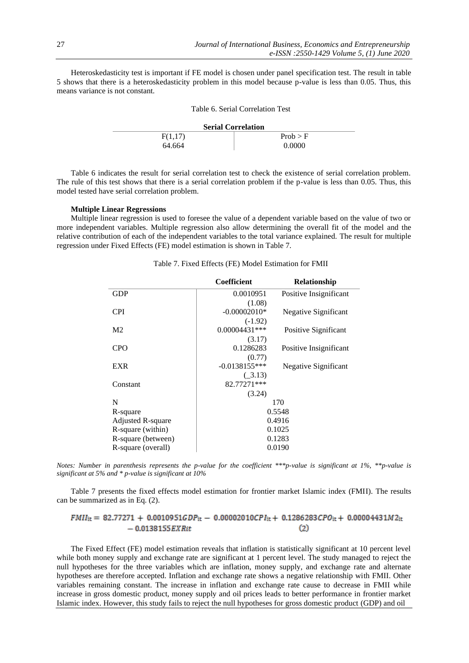Heteroskedasticity test is important if FE model is chosen under panel specification test. The result in table 5 shows that there is a heteroskedasticity problem in this model because p-value is less than 0.05. Thus, this means variance is not constant.

| Table 6. Serial Correlation Test |          |  |  |
|----------------------------------|----------|--|--|
| <b>Serial Correlation</b>        |          |  |  |
| F(1,17)                          | Prob > F |  |  |
| 64.664                           | 0.0000   |  |  |

Table 6 indicates the result for serial correlation test to check the existence of serial correlation problem. The rule of this test shows that there is a serial correlation problem if the p-value is less than 0.05. Thus, this model tested have serial correlation problem.

#### **Multiple Linear Regressions**

Multiple linear regression is used to foresee the value of a dependent variable based on the value of two or more independent variables. Multiple regression also allow determining the overall fit of the model and the relative contribution of each of the independent variables to the total variance explained. The result for multiple regression under Fixed Effects (FE) model estimation is shown in Table 7.

|                          | Coefficient     | Relationship           |  |
|--------------------------|-----------------|------------------------|--|
| GDP                      | 0.0010951       | Positive Insignificant |  |
|                          | (1.08)          |                        |  |
| <b>CPI</b>               | $-0.00002010*$  | Negative Significant   |  |
|                          | $(-1.92)$       |                        |  |
| M <sub>2</sub>           | $0.00004431***$ | Positive Significant   |  |
|                          | (3.17)          |                        |  |
| <b>CPO</b>               | 0.1286283       | Positive Insignificant |  |
|                          | (0.77)          |                        |  |
| <b>EXR</b>               | $-0.0138155***$ | Negative Significant   |  |
|                          | (.3.13)         |                        |  |
| Constant                 | 82.77271***     |                        |  |
|                          | (3.24)          |                        |  |
| N                        | 170             |                        |  |
| R-square                 | 0.5548          |                        |  |
| <b>Adjusted R-square</b> | 0.4916          |                        |  |
| R-square (within)        | 0.1025          |                        |  |
| R-square (between)       | 0.1283          |                        |  |
| R-square (overall)       | 0.0190          |                        |  |

## Table 7. Fixed Effects (FE) Model Estimation for FMII

*Notes: Number in parenthesis represents the p-value for the coefficient \*\*\*p-value is significant at 1%, \*\*p-value is significant at 5% and \* p-value is significant at 10%*

Table 7 presents the fixed effects model estimation for frontier market Islamic index (FMII). The results can be summarized as in Eq. (2).

#### $FMI_{it} = 82.77271 + 0.0010951GDP_{it} - 0.00002010CPI_{it} + 0.1286283CPO_{it} + 0.00004431M2_{it}$  $-0.0138155$ *EXRit*  $(2)$

The Fixed Effect (FE) model estimation reveals that inflation is statistically significant at 10 percent level while both money supply and exchange rate are significant at 1 percent level. The study managed to reject the null hypotheses for the three variables which are inflation, money supply, and exchange rate and alternate hypotheses are therefore accepted. Inflation and exchange rate shows a negative relationship with FMII. Other variables remaining constant. The increase in inflation and exchange rate cause to decrease in FMII while increase in gross domestic product, money supply and oil prices leads to better performance in frontier market Islamic index. However, this study fails to reject the null hypotheses for gross domestic product (GDP) and oil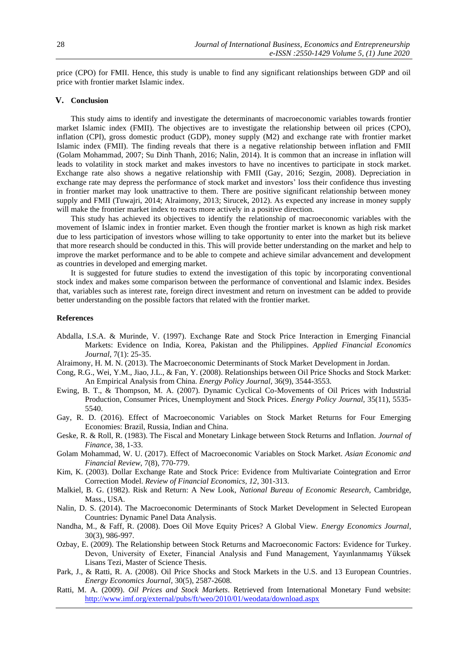price (CPO) for FMII. Hence, this study is unable to find any significant relationships between GDP and oil price with frontier market Islamic index.

# **V. Conclusion**

This study aims to identify and investigate the determinants of macroeconomic variables towards frontier market Islamic index (FMII). The objectives are to investigate the relationship between oil prices (CPO), inflation (CPI), gross domestic product (GDP), money supply (M2) and exchange rate with frontier market Islamic index (FMII). The finding reveals that there is a negative relationship between inflation and FMII (Golam Mohammad, 2007; Su Dinh Thanh, 2016; Nalin, 2014). It is common that an increase in inflation will leads to volatility in stock market and makes investors to have no incentives to participate in stock market. Exchange rate also shows a negative relationship with FMII (Gay, 2016; Sezgin, 2008). Depreciation in exchange rate may depress the performance of stock market and investors' loss their confidence thus investing in frontier market may look unattractive to them. There are positive significant relationship between money supply and FMII (Tuwajri, 2014; Alraimony, 2013; Sirucek, 2012). As expected any increase in money supply will make the frontier market index to reacts more actively in a positive direction.

This study has achieved its objectives to identify the relationship of macroeconomic variables with the movement of Islamic index in frontier market. Even though the frontier market is known as high risk market due to less participation of investors whose willing to take opportunity to enter into the market but its believe that more research should be conducted in this. This will provide better understanding on the market and help to improve the market performance and to be able to compete and achieve similar advancement and development as countries in developed and emerging market.

It is suggested for future studies to extend the investigation of this topic by incorporating conventional stock index and makes some comparison between the performance of conventional and Islamic index. Besides that, variables such as interest rate, foreign direct investment and return on investment can be added to provide better understanding on the possible factors that related with the frontier market.

#### **References**

- Abdalla, I.S.A. & Murinde, V. (1997). Exchange Rate and Stock Price Interaction in Emerging Financial Markets: Evidence on India, Korea, Pakistan and the Philippines. *Applied Financial Economics Journal*, 7(1): 25-35.
- Alraimony, H. M. N. (2013). The Macroeconomic Determinants of Stock Market Development in Jordan.
- Cong, R.G., Wei, Y.M., Jiao, J.L., & Fan, Y. (2008). Relationships between Oil Price Shocks and Stock Market: An Empirical Analysis from China. *Energy Policy Journal*, 36(9), 3544-3553.
- Ewing, B. T., & Thompson, M. A. (2007). Dynamic Cyclical Co-Movements of Oil Prices with Industrial Production, Consumer Prices, Unemployment and Stock Prices. *Energy Policy Journal,* 35(11), 5535- 5540.
- Gay, R. D. (2016). Effect of Macroeconomic Variables on Stock Market Returns for Four Emerging Economies: Brazil, Russia, Indian and China.
- Geske, R. & Roll, R. (1983). The Fiscal and Monetary Linkage between Stock Returns and Inflation. *Journal of Finance*, 38, 1-33.
- Golam Mohammad, W. U. (2017). Effect of Macroeconomic Variables on Stock Market. *Asian Economic and Financial Review*, 7(8), 770-779.
- Kim, K. (2003). Dollar Exchange Rate and Stock Price: Evidence from Multivariate Cointegration and Error Correction Model. *Review of Financial Economics, 12*, 301-313.
- Malkiel, B. G. (1982). Risk and Return: A New Look, *National Bureau of Economic Research,* Cambridge, Mass., USA.
- Nalin, D. S. (2014). The Macroeconomic Determinants of Stock Market Development in Selected European Countries: Dynamic Panel Data Analysis.
- Nandha, M., & Faff, R. (2008). Does Oil Move Equity Prices? A Global View. *Energy Economics Journal*, 30(3), 986-997.
- Ozbay, E. (2009). The Relationship between Stock Returns and Macroeconomic Factors: Evidence for Turkey. Devon, University of Exeter, Financial Analysis and Fund Management, Yayınlanmamış Yüksek Lisans Tezi, Master of Science Thesis.
- Park, J., & Ratti, R. A. (2008). Oil Price Shocks and Stock Markets in the U.S. and 13 European Countries. *Energy Economics Journal*, 30(5), 2587-2608.
- Ratti, M. A. (2009). *Oil Prices and Stock Markets*. Retrieved from International Monetary Fund website: <http://www.imf.org/external/pubs/ft/weo/2010/01/weodata/download.aspx>